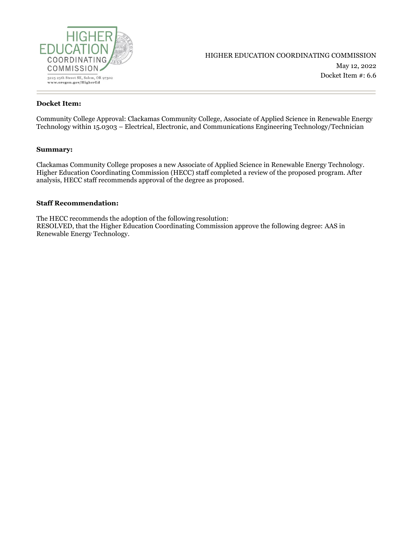

### **Docket Item:**

Community College Approval: Clackamas Community College, Associate of Applied Science in Renewable Energy Technology within 15.0303 – Electrical, Electronic, and Communications Engineering Technology/Technician

#### **Summary:**

Clackamas Community College proposes a new Associate of Applied Science in Renewable Energy Technology. Higher Education Coordinating Commission (HECC) staff completed a review of the proposed program. After analysis, HECC staff recommends approval of the degree as proposed.

#### **Staff Recommendation:**

The HECC recommends the adoption of the followingresolution: RESOLVED, that the Higher Education Coordinating Commission approve the following degree: AAS in Renewable Energy Technology.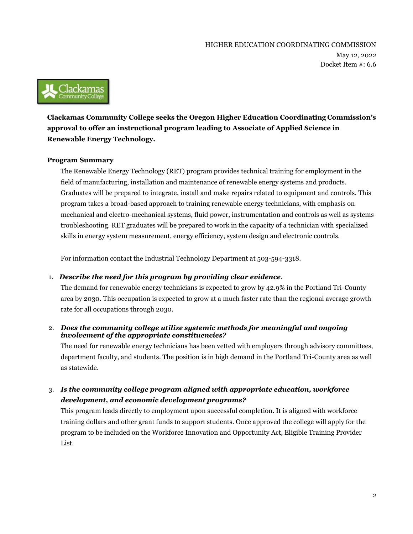

**Clackamas Community College seeks the Oregon Higher Education Coordinating Commission's approval to offer an instructional program leading to Associate of Applied Science in Renewable Energy Technology.**

## **Program Summary**

The Renewable Energy Technology (RET) program provides technical training for employment in the field of manufacturing, installation and maintenance of renewable energy systems and products. Graduates will be prepared to integrate, install and make repairs related to equipment and controls. This program takes a broad-based approach to training renewable energy technicians, with emphasis on mechanical and electro-mechanical systems, fluid power, instrumentation and controls as well as systems troubleshooting. RET graduates will be prepared to work in the capacity of a technician with specialized skills in energy system measurement, energy efficiency, system design and electronic controls.

For information contact the Industrial Technology Department at 503-594-3318.

## 1. *Describe the need for this program by providing clear evidence.*

The demand for renewable energy technicians is expected to grow by 42.9% in the Portland Tri-County area by 2030. This occupation is expected to grow at a much faster rate than the regional average growth rate for all occupations through 2030.

## 2. *Does the community college utilize systemic methods for meaningful and ongoing involvement of the appropriate constituencies?*

The need for renewable energy technicians has been vetted with employers through advisory committees, department faculty, and students. The position is in high demand in the Portland Tri-County area as well as statewide.

3. *Is the community college program aligned with appropriate education, workforce development, and economic development programs?*

This program leads directly to employment upon successful completion. It is aligned with workforce training dollars and other grant funds to support students. Once approved the college will apply for the program to be included on the Workforce Innovation and Opportunity Act, Eligible Training Provider List.